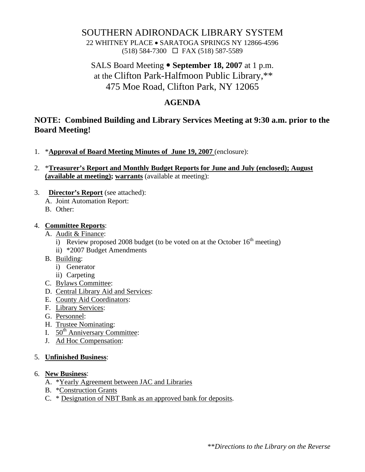# SOUTHERN ADIRONDACK LIBRARY SYSTEM

22 WHITNEY PLACE • SARATOGA SPRINGS NY 12866-4596 (518) 584-7300 FAX (518) 587-5589

SALS Board Meeting • **September 18, 2007** at 1 p.m. at the Clifton Park-Halfmoon Public Library,\*\* 475 Moe Road, Clifton Park, NY 12065

### **AGENDA**

## **NOTE: Combined Building and Library Services Meeting at 9:30 a.m. prior to the Board Meeting!**

- 1. \***Approval of Board Meeting Minutes of June 19, 2007** (enclosure):
- 2. \***Treasurer's Report and Monthly Budget Reports for June and July (enclosed); August (available at meeting); warrants** (available at meeting):
- 3. **Director's Report** (see attached):
	- A. Joint Automation Report:
	- B. Other:

### 4. **Committee Reports**:

- A. Audit & Finance:
	- i) Review proposed 2008 budget (to be voted on at the October  $16<sup>th</sup>$  meeting)
	- ii) \*2007 Budget Amendments
- B. Building:
	- i) Generator
	- ii) Carpeting
- C. Bylaws Committee:
- D. Central Library Aid and Services:
- E. County Aid Coordinators:
- F. Library Services:
- G. Personnel:
- H. Trustee Nominating:
- I.  $50<sup>th</sup>$  Anniversary Committee:
- J. Ad Hoc Compensation:

### 5. **Unfinished Business**:

### 6. **New Business**:

- A. \*Yearly Agreement between JAC and Libraries
- B. \*Construction Grants
- C. \* Designation of NBT Bank as an approved bank for deposits.